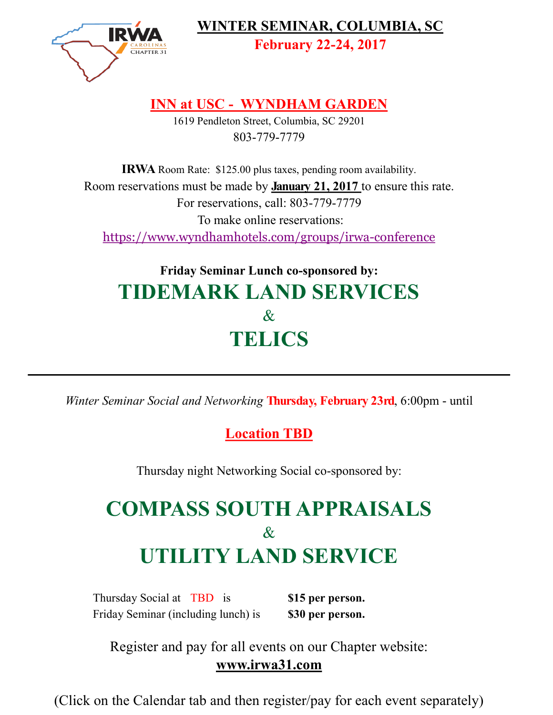

**WINTER SEMINAR, COLUMBIA, SC** 

**February 22-24, 2017**

## **INN at USC - WYNDHAM GARDEN**

1619 Pendleton Street, Columbia, SC 29201 803-779-7779

**IRWA** Room Rate: \$125.00 plus taxes, pending room availability. Room reservations must be made by **January 21, 2017** to ensure this rate. For reservations, call: 803-779-7779 To make online reservations: [https://www.wyndhamhotels.com/groups/irwa](https://www.wyndhamhotels.com/groups/irwa-conference)-conference

## **Friday Seminar Lunch co-sponsored by: TIDEMARK LAND SERVICES** & **TELICS**

*Winter Seminar Social and Networking* **Thursday, February 23rd**, 6:00pm - until

## **Location TBD**

Thursday night Networking Social co-sponsored by:

# **COMPASS SOUTH APPRAISALS** & **UTILITY LAND SERVICE**

Thursday Social at TBD is **\$15 per person.** Friday Seminar (including lunch) is **\$30 per person.**

Register and pay for all events on our Chapter website: **www.irwa31.com**

(Click on the Calendar tab and then register/pay for each event separately)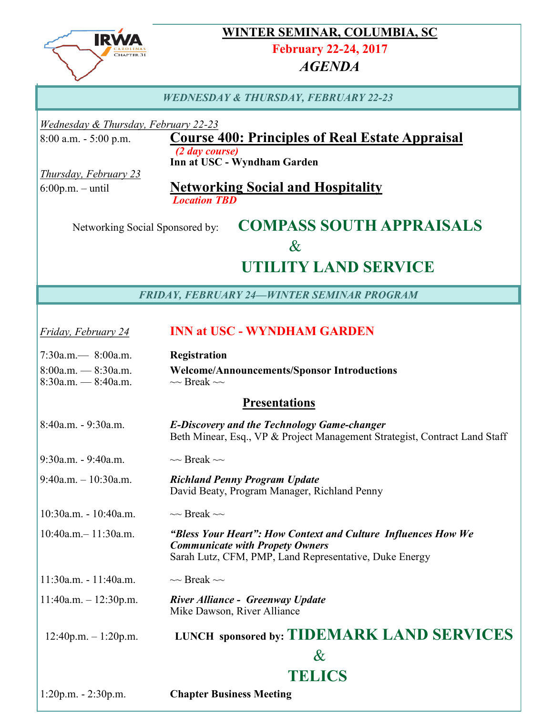

## **WINTER SEMINAR, COLUMBIA, SC**

**February 22-24, 2017**

#### *AGENDA*

#### *WEDNESDAY & THURSDAY, FEBRUARY 22-23*

*Wednesday & Thursday, February 22-23*

#### 8:00 a.m. - 5:00 p.m. **Course 400: Principles of Real Estate Appraisal** *(2 day course)*

**Inn at USC - Wyndham Garden**

*Thursday, February 23*

#### 6:00p.m. – until **Networking Social and Hospitality** *Location TBD*

## Networking Social Sponsored by: **COMPASS SOUTH APPRAISALS**  $\&$  **UTILITY LAND SERVICE**

*FRIDAY, FEBRUARY 24—WINTER SEMINAR PROGRAM*

### *Friday, February 24* **INN at USC - WYNDHAM GARDEN** 7:30a.m.— 8:00a.m. **Registration**

| $1.50a.III$ $\rightarrow$ 0.00a.III. | Registration                                       |
|--------------------------------------|----------------------------------------------------|
| $8:00$ a.m. $-8:30$ a.m.             | <b>Welcome/Announcements/Sponsor Introductions</b> |
| $8:30$ a.m. $-8:40$ a.m.             | $\sim$ Break $\sim$                                |

#### **Presentations**

| 8:40a.m. - 9:30a.m.         | <b>E-Discovery and the Technology Game-changer</b><br>Beth Minear, Esq., VP & Project Management Strategist, Contract Land Staff                                  |
|-----------------------------|-------------------------------------------------------------------------------------------------------------------------------------------------------------------|
| 9:30a.m. - 9:40a.m.         | $\sim$ Break $\sim$                                                                                                                                               |
| $9:40$ a.m. $-10:30$ a.m.   | <b>Richland Penny Program Update</b><br>David Beaty, Program Manager, Richland Penny                                                                              |
| $10:30$ a.m. - $10:40$ a.m. | $\sim$ Break $\sim$                                                                                                                                               |
| $10:40$ a.m. $-11:30$ a.m.  | "Bless Your Heart": How Context and Culture Influences How We<br><b>Communicate with Propety Owners</b><br>Sarah Lutz, CFM, PMP, Land Representative, Duke Energy |
| $11:30$ a.m. - $11:40$ a.m. | $\sim$ Break $\sim$                                                                                                                                               |
| $11:40a.m. - 12:30p.m.$     | <b>River Alliance - Greenway Update</b><br>Mike Dawson, River Alliance                                                                                            |
| $12:40p.m. - 1:20p.m.$      | <b>LUNCH sponsored by: TIDEMARK LAND SERVICES</b>                                                                                                                 |
|                             | $\&$                                                                                                                                                              |
|                             | TELICS                                                                                                                                                            |
| $1:20p.m. - 2:30p.m.$       | <b>Chapter Business Meeting</b>                                                                                                                                   |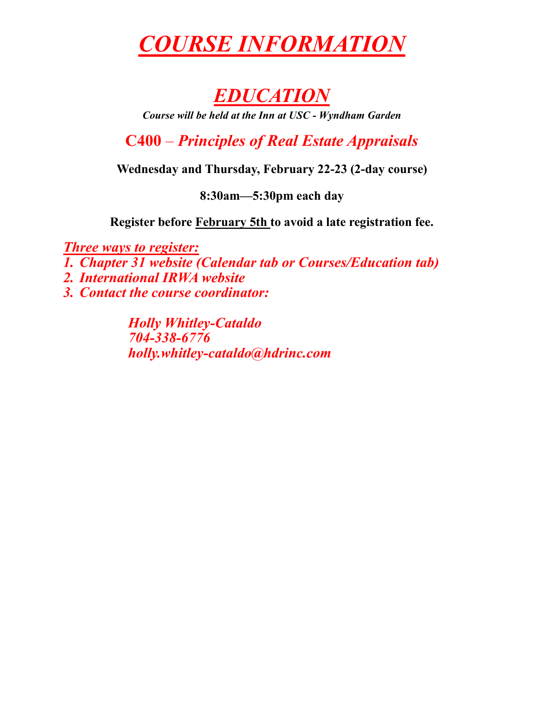# *COURSE INFORMATION*

## *EDUCATION*

*Course will be held at the Inn at USC - Wyndham Garden*

**C400** – *Principles of Real Estate Appraisals*

**Wednesday and Thursday, February 22-23 (2-day course)**

**8:30am—5:30pm each day**

**Register before February 5th to avoid a late registration fee.**

*Three ways to register:*

*1. Chapter 31 website (Calendar tab or Courses/Education tab)*

*2. International IRWA website*

*3. Contact the course coordinator:*

*Holly Whitley-Cataldo 704-338-6776 holly.whitley-cataldo@hdrinc.com*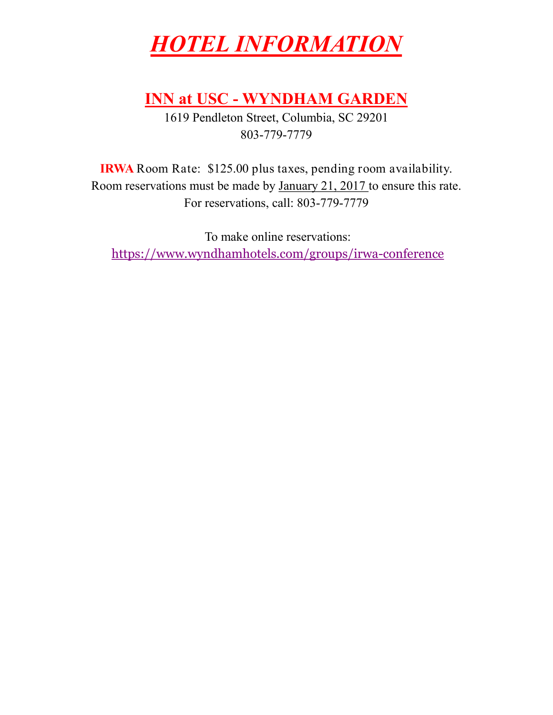# *HOTEL INFORMATION*

## **INN at USC - WYNDHAM GARDEN**

1619 Pendleton Street, Columbia, SC 29201 803-779-7779

**IRWA** Room Rate: \$125.00 plus taxes, pending room availability. Room reservations must be made by January 21, 2017 to ensure this rate. For reservations, call: 803-779-7779

To make online reservations: [https://www.wyndhamhotels.com/groups/irwa](https://www.wyndhamhotels.com/groups/irwa-conference)-conference